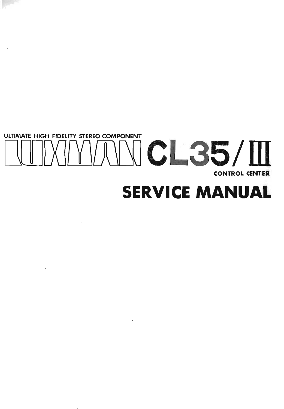# ULTIMATE HIGH FIDELITY STEREO COMPONENT **MANCL35/M CONTROL CENTER SERVICE MANUAL**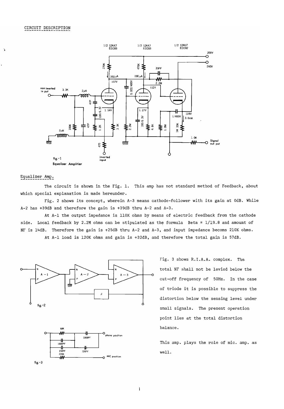

#### Equalizer Amp.

The circuit is shown in the *Fig.* 1. This amp has not standard method of Feedback, about which special explanation is made hereunder.

*Fig.* 2 shows its concept, wherein A-3 means cathode-follower with its gain at OdB. While A-2 has +39dB and therefore the gain is +39dB thru A-2 and A-3.

At A-I the output impedance is 110K ohms by means of electric feedback from the cathode side. Local feedback by 2.2M ohms can be stipulated as the formula Beta =  $1/19.8$  and amount of NF is 14dB. Therefore the gain is +25dB thru A-2 and A-3, and input impedance becoms 210K ohms.

At A-1 load is 120K ohms and gain is +32dB, and therefore the total gain is 57dB.



l<br>150PF 220PF<br><sup>220K</sup>

220<sub>K</sub>

fig.-3

Fig. 3 shows R.I.A.A. complex. The. total NF shall not be levied below the cut-off frequency of 50Hz. In the case of triode it is possible to suppress the distortion below the sensing level under point lies at the total distortion balance.

This amp. plays the role of mic. amp. as well.

 $\mathsf I$ 

**MlC position**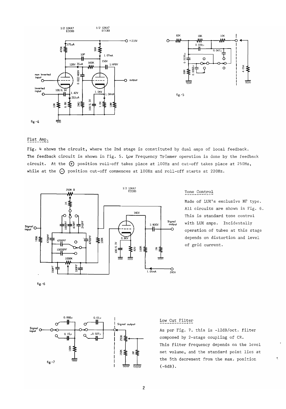

#### Flat Amp.

Fig. 4 shows the circuit, where the 2nd stage is constituted by dual amps of local feedback. The feedback circuit is shown in Fig. 5. Low Frequency Trimmer operation is done by the feedback circuit. At the G) position roll-off takes place at 100Hz and cut-off takes place at 250Hz, while at the  $\bigcap$  position cut-off commences at 100Hz and roll-off starts at 220Hz.



#### Tone Control

Made of LUX's exclusive NF type. All circuits are shown in Fig. 6. This is standard tone control with LUX amps. Incidentally operation of tubes at this stage depends on distortion and level of grid current.





#### Low Cut Filter

As per Fig. 7. this is -12dB/oct. filter composed by 2-stage coupling of CR. This filter frequency depends on the level set volume, and the standard point lies at the 5th decrement from the max. position (-6dB) .

"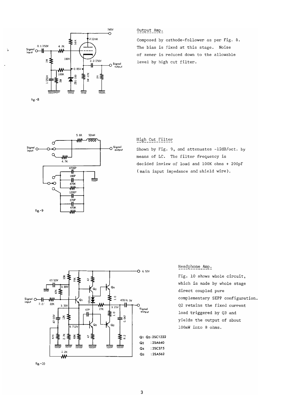

#### Output Amp.

Composed by cathode-follower as per Fig. 8. of zener is reduced down to the aliowable level by high cut filter.



#### High Cut Filter

Shown by Fig. 9, and attenuates -12dB/oct. by means of LC. The filter frequency is decided inview of load and lOOK ohms + 200pF (main input impedance and shield wire).



Headphone Amp.

Fig. 10 shows whole circuit, which is made by whole stage direct coupled pure complementary SEPP configuration. Q2 retains the fixed current load triggered by Q3 and yields the output of about 100rnW into 8 ohms.

fig.-lD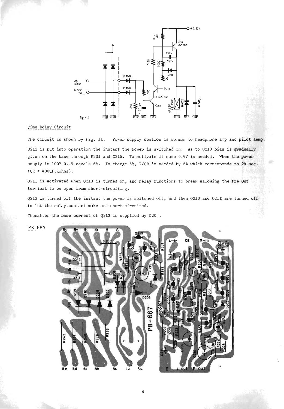

#### Time\_Delay\_Circuit

The circuit is shown by Fig. 11. Power supply section is common to headphone amp and pilot lamp. Q212 is put into operation the instant the power is switched on. As to Q213 bias is gradually given on the base through R231 and C215. To activate it some 0.4V is needed. When the power supply is 100% 0.4V equals 6%. To charge 6%, *T/CR* is needed by 6% which corresponds to 24 sec.  $(CR = 400uF.Kohns)$ .

Q211 is activated when Q213 is turned on, and relay functions to break allowing the Pre Out terminal to be open from short-circuiting.

Q2l2 is turned off the instant the power is switched off, and then Q2l3 and Q2l1 are turned off to let the relay.contact make and short-circuited.

Thenafter the base current of Q2l3 is supplied by D204.

PB-667



"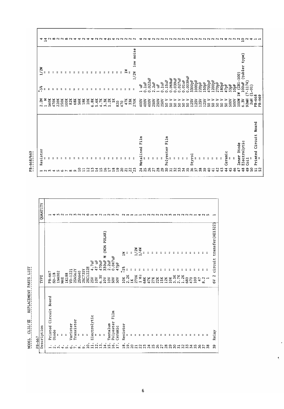| (tubler<br>1/2W<br>$-100$<br>$\blacksquare$<br>$0.0039$ uF<br>3300pF<br>$068$ uF<br>$022$ uF<br>$039$ uF<br>$.027$ uF<br>.01uf<br>15uF<br>1000pF<br>4700pF<br>1200pF<br>$-1174$<br>100uF<br>$\mathbb{R}$<br>2uF<br>Ē<br>220pF<br>150pF<br>70pF<br>180pF<br>(231)<br>Ë<br>53pF<br>10pF<br>Ë<br>47pF<br>$\tilde{c}$<br>÷<br>$\bullet$<br>$\bullet$<br>$\bullet$<br>$\bullet$<br>$\circ$<br>$\circ$<br>$\circ$<br>$\circ$<br>$\sim$<br>ᅌ<br>$\circ$<br>$\circ$<br>$\blacksquare$<br>0<br>$\sim$<br>0<br>Ă<br>Ć<br>ب<br>92mH<br>2uH<br>2.2M<br>1 MSOK<br>560K<br>47220K<br>150K<br>82K<br>68K<br>56K<br>18K<br>.8 <sub>k</sub><br>10K<br>.6K<br>X<br>$\frac{2}{3}$<br>$\frac{2}{\pi}$<br>≒<br>47K<br>33K<br>400V<br>$\frac{88}{300}$<br>$\begin{array}{c} 1250 \\ 1250 \\ 1250 \\ 1250 \\ \end{array}$<br>⋗<br>⋗ |       |  |  |  |  | Ó | $\mathbf{u}$ | $\bullet$ | $\bullet$<br>$M_{\odot}$ | $\bullet$ | 820 | 470 | 270K | 400V<br>Film | 400V |  | Film | នន | S, | នន |  | ္တ | SO | S0 | S0 | 500V<br>S <sub>0</sub> | 500V | 100W | 5.5V<br>Electrolytic |  |
|--------------------------------------------------------------------------------------------------------------------------------------------------------------------------------------------------------------------------------------------------------------------------------------------------------------------------------------------------------------------------------------------------------------------------------------------------------------------------------------------------------------------------------------------------------------------------------------------------------------------------------------------------------------------------------------------------------------------------------------------------------------------------------------------------------------|-------|--|--|--|--|---|--------------|-----------|--------------------------|-----------|-----|-----|------|--------------|------|--|------|----|----|----|--|----|----|----|----|------------------------|------|------|----------------------|--|
|                                                                                                                                                                                                                                                                                                                                                                                                                                                                                                                                                                                                                                                                                                                                                                                                              | $-5%$ |  |  |  |  |   |              |           |                          |           |     |     |      |              |      |  |      |    |    |    |  |    |    |    |    |                        |      |      |                      |  |

T

 $\hat{\mathbf{q}}$ 

h

|                                                                                                 |       | QUANTITY    |                             |         |               |               |       |           |                    |                       |         |            | 14321252261421232                          |                          |                     |                                                         |                           |                                  |                | $\sim$                                                    |                     |                |      |                       |     |   | - ~ ~ ~ ~ ~ ~ ~ ~ ~ ~ ~ ~ ~ ~ ~ ~ |              |     |                            |     |     |     |   |                  | ⊣                                |
|-------------------------------------------------------------------------------------------------|-------|-------------|-----------------------------|---------|---------------|---------------|-------|-----------|--------------------|-----------------------|---------|------------|--------------------------------------------|--------------------------|---------------------|---------------------------------------------------------|---------------------------|----------------------------------|----------------|-----------------------------------------------------------|---------------------|----------------|------|-----------------------|-----|---|-----------------------------------|--------------|-----|----------------------------|-----|-----|-----|---|------------------|----------------------------------|
|                                                                                                 |       |             |                             |         |               |               |       |           |                    |                       |         |            |                                            |                          |                     | (NON POLAR)<br>Σ                                        |                           |                                  |                | $\mathbb{R}$                                              | Ξ                   | $\overline{a}$ | 1/2W | 1/4M                  | Ξ   | ÷ | ÷                                 |              |     |                            |     |     |     | z |                  | transfer (AE1322)                |
| <b>TIST</b>                                                                                     |       | TYPE        | PB-667                      | $SD-1B$ | 1N4002        | M4E           | 1K188 | $VD-1221$ | 2SA562Y            | 2SA640                | 2SC735Y | 2SC1222E   | 10 <sup>T</sup><br>4<br>25V<br>10V<br>6.3V | Ė<br>47                  | 470uF               | 330uF<br>10V                                            | 2.2uF<br>10V              | $0.047uF$<br>$47pF$<br>50V       | 50V            | $-5%$<br>$\begin{array}{c} 10K \\ 2.2K \\ 1K \end{array}$ | ÷                   | z              | 270K | ÷<br>1 M <sub>3</sub> | 68K |   | 47K<br>27K<br>22K                 | 15K<br>12K   | 10K | $3.3K$<br>$2.7K$<br>$1.2K$ | 680 | 470 | 100 | ። | 47.2<br>$\infty$ | circuit<br>2<br>$\tilde{\delta}$ |
| REPLACEMENT PARTS<br>- 1<br>$\cdot$<br>$\blacksquare$<br>$CL35/\Pi$<br>$\overline{\phantom{a}}$ |       | Description | Board<br>Circuit<br>Printed | Diode   | ÷             | ÷             | ÷     | Varister  | Transistor         | ÷                     | ÷       | ÷          | ectrolytic<br>ដី                           | ÷                        | Ξ                   | ÷                                                       | Tantalum                  | Film<br>Polyester                | Ceramic        | stor<br>Resi:                                             | Ξ                   |                |      |                       |     |   |                                   |              |     |                            |     |     |     |   |                  | Relay                            |
| MODEL.                                                                                          | PB-66 |             |                             | $\sim$  | ٠<br><b>M</b> | $\rightarrow$ | s.    | ٠         | ٠<br>$\sim$ $\sim$ | $\bullet$<br>$\infty$ |         | $\ddot{a}$ | $\bullet$<br>$\mathbf{1}$                  | $\blacksquare$<br>$\sim$ | Z<br>$\blacksquare$ | $\bullet$<br>$\overline{ }$<br>$\overline{\phantom{0}}$ | ٠<br>t.<br>$\blacksquare$ | $\ddot{\circ}$<br>$\overline{a}$ | $\overline{ }$ | $\infty$<br>$\overline{\phantom{0}}$                      | G<br>$\overline{ }$ | 20             |      |                       |     |   | <b>GRARAS</b>                     | COORDRAMARES |     |                            |     |     |     |   |                  | 39                               |

# PB-668/669

Г

 $\overline{\Gamma}$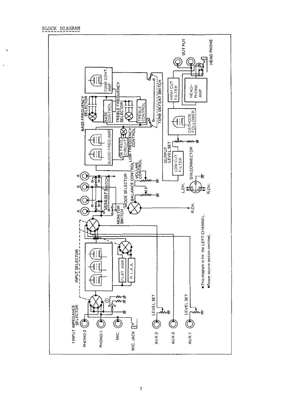BLOCK DIAGRAM

 $\mathbf{\dot{a}}$ 

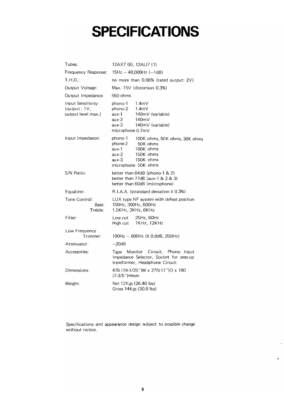## **SPECIFICATIONS**

| Tubes:                                                   | 12AX7 (6), 12AU7 (1)                                                                                                                                       |  |  |  |  |  |  |  |  |  |  |  |
|----------------------------------------------------------|------------------------------------------------------------------------------------------------------------------------------------------------------------|--|--|--|--|--|--|--|--|--|--|--|
| Frequency Response:                                      | $15Hz - 40,000Hz (-1dB)$                                                                                                                                   |  |  |  |  |  |  |  |  |  |  |  |
| T.H.D.:                                                  | no more than 0.06% (rated output: 2V)                                                                                                                      |  |  |  |  |  |  |  |  |  |  |  |
| Output Voltage:                                          | Max. 15V (distortion 0.3%)                                                                                                                                 |  |  |  |  |  |  |  |  |  |  |  |
| Output Impedance:                                        | 550-ohms                                                                                                                                                   |  |  |  |  |  |  |  |  |  |  |  |
| Input Sensitivity:<br>(output; 1V,<br>output level max.) | phono-1<br>1.4 <sub>m</sub><br>phono-2<br>1.4 <sub>m</sub><br>aux-1<br>140mV (variable)<br>aux-2<br>140mV<br>aux-3<br>140mV (variable)<br>microphone 0.7mV |  |  |  |  |  |  |  |  |  |  |  |
| Input Impedance:                                         | phono-1<br>100K ohms, 50K ohms, 30K ohms<br>phone-2<br>50K ohms<br>100K ohms<br>aux-1<br>150K ohms<br>aux-2<br>aux-3<br>100K ohms<br>microphone 50K ohms   |  |  |  |  |  |  |  |  |  |  |  |
| S/N Ratio:                                               | better than 64dB (phono-1 & 2)<br>better than 77dB (aux-1 & 2 & 3)<br>better than 60dB (microphone)                                                        |  |  |  |  |  |  |  |  |  |  |  |
| Equalizer:                                               | R.I.A.A. (strandard deviation ± 0.3%)                                                                                                                      |  |  |  |  |  |  |  |  |  |  |  |
| Tone Control:<br>Bass:<br>Treble:                        | LUX type NF system with defeat position<br>150Hz, 300Hz, 600Hz<br>1.5KHz, 3KHz, 6KHz                                                                       |  |  |  |  |  |  |  |  |  |  |  |
| Filter:                                                  | Low cut<br>25Hz, 60Hz<br>7KHz, 12KHz<br>High cut                                                                                                           |  |  |  |  |  |  |  |  |  |  |  |
| Low Frequency<br>Trimmer:                                | $100Hz - 800Hz$ ( $\pm$ 0.8dB, 250Hz)                                                                                                                      |  |  |  |  |  |  |  |  |  |  |  |
| Attenuator:                                              | $-20dB$                                                                                                                                                    |  |  |  |  |  |  |  |  |  |  |  |
| Accessories:                                             | Monitor Circuit, Phono Input<br>Tape<br>Impedance Selector, Socket for step-up<br>transformer, Headphone Circuit                                           |  |  |  |  |  |  |  |  |  |  |  |
| Dimensions:                                              | 476 (19-1/25") W x 275 (11") D x 190<br>$(7-3/5'')$ Hmm                                                                                                    |  |  |  |  |  |  |  |  |  |  |  |
| Weight:                                                  | Net 12Kgs (26.40 lbs)<br>Gross 14 Kgs (30.8 lbs)                                                                                                           |  |  |  |  |  |  |  |  |  |  |  |

Specifications and appearance design subject to possible change without notice.

 $\hat{\boldsymbol{\epsilon}}$ 

 $\P$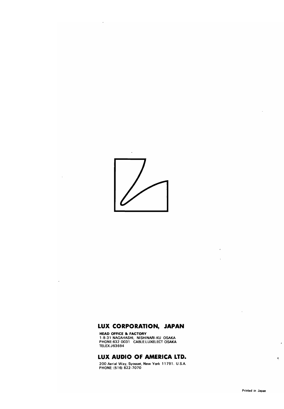

 $\mathbf{r}$ 

 $\ddot{\phantom{a}}$ 

 $\ddot{\phantom{a}}$ 

### **LUX CORPORATION, JAPAN**

 TElEX:J63694 **HEAD OFFICE 81 FACTORY** 1-8-31 NAGAHASHI, NISHINARI-KU OSAKA PHONE:632 0031 CABlE:lUXELECT OSAKA

## **LUX AUDIO OF AMERICA LTD.**

New York 11791, U.S.A. 200 Aerial Way. Syosset. New York 11791. U.S.A. PHONE: (516) 822-7070

 $\bar{\mathcal{L}}$ 

l,

 $\ddot{\phantom{a}}$ 

~.

 $\epsilon$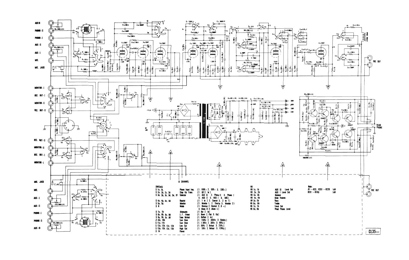